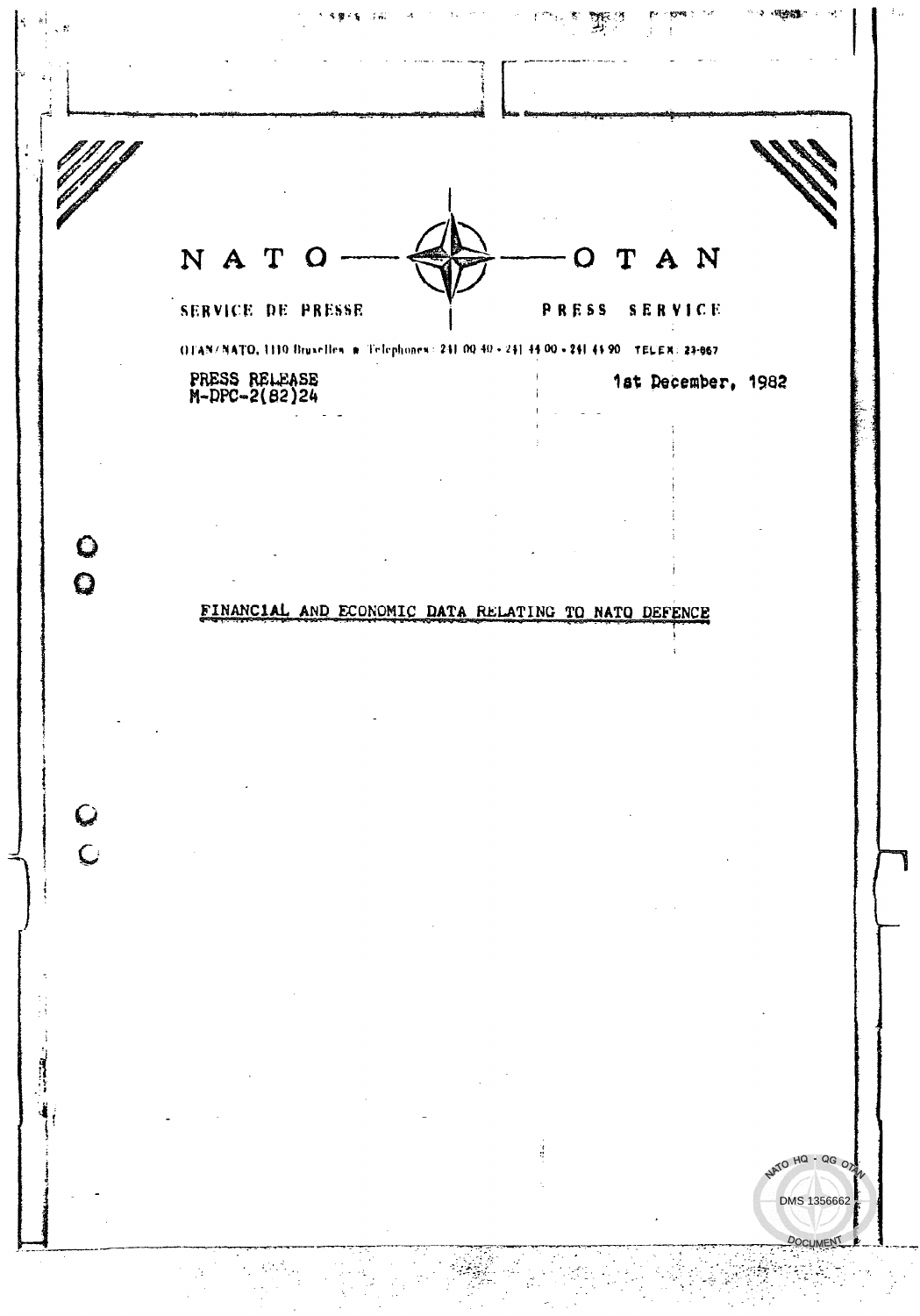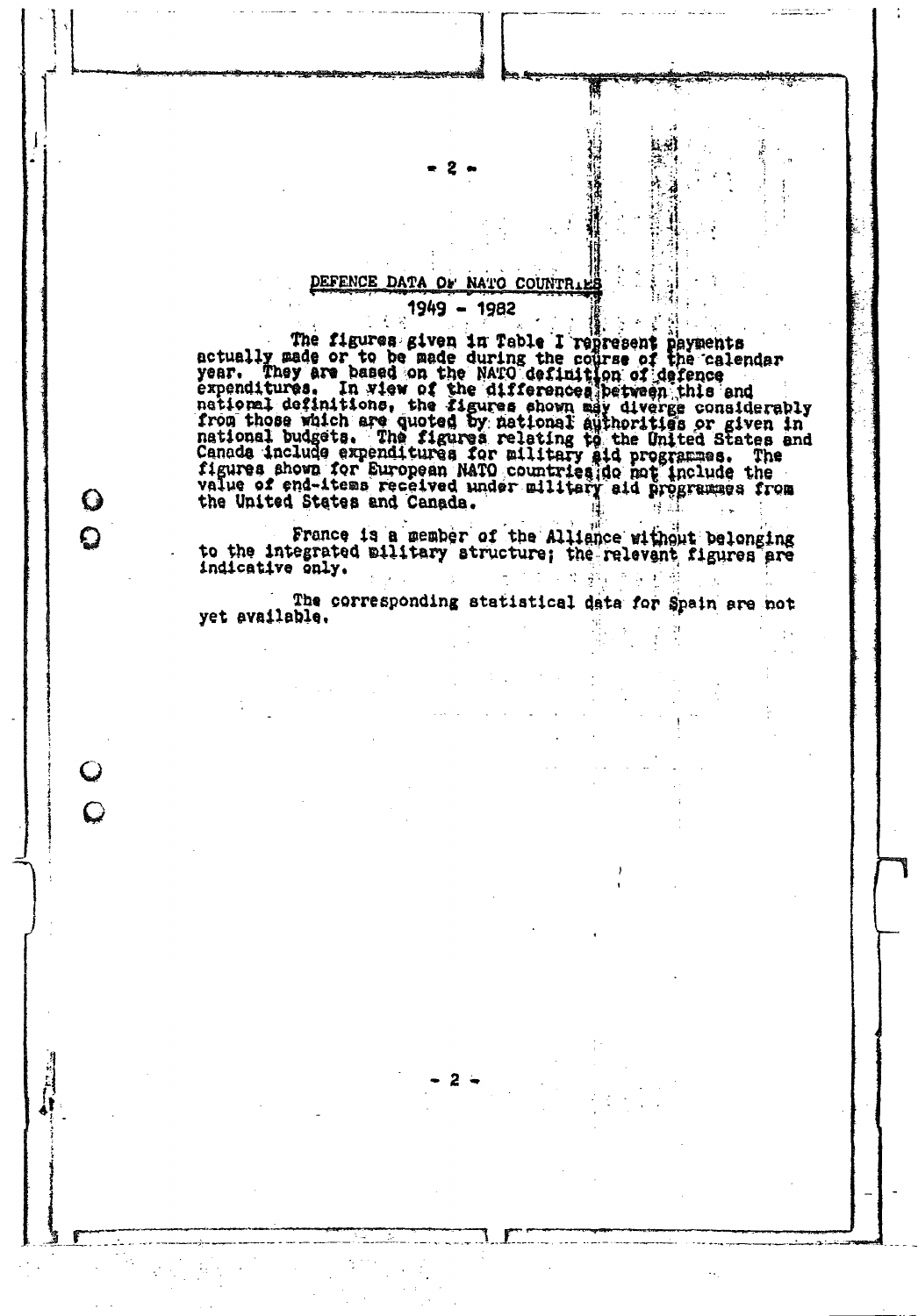# DEFENCE DATA OF NATO COUNTRIE

O

 $\boldsymbol{\Omega}$ 

C

 $\overline{C}$ 

1949 - 1982

The figures given in Table I represent payments<br>actually made or to be made during the course of the calendar<br>year. They are based on the NATO definition of defence<br>expenditures. In view of the differences between this and the United States and Canada.

France is a member of the Alliance without belonging<br>to the integrated military structure; the relevant figures are indicative only.

The corresponding statistical data for Spain are not yet available.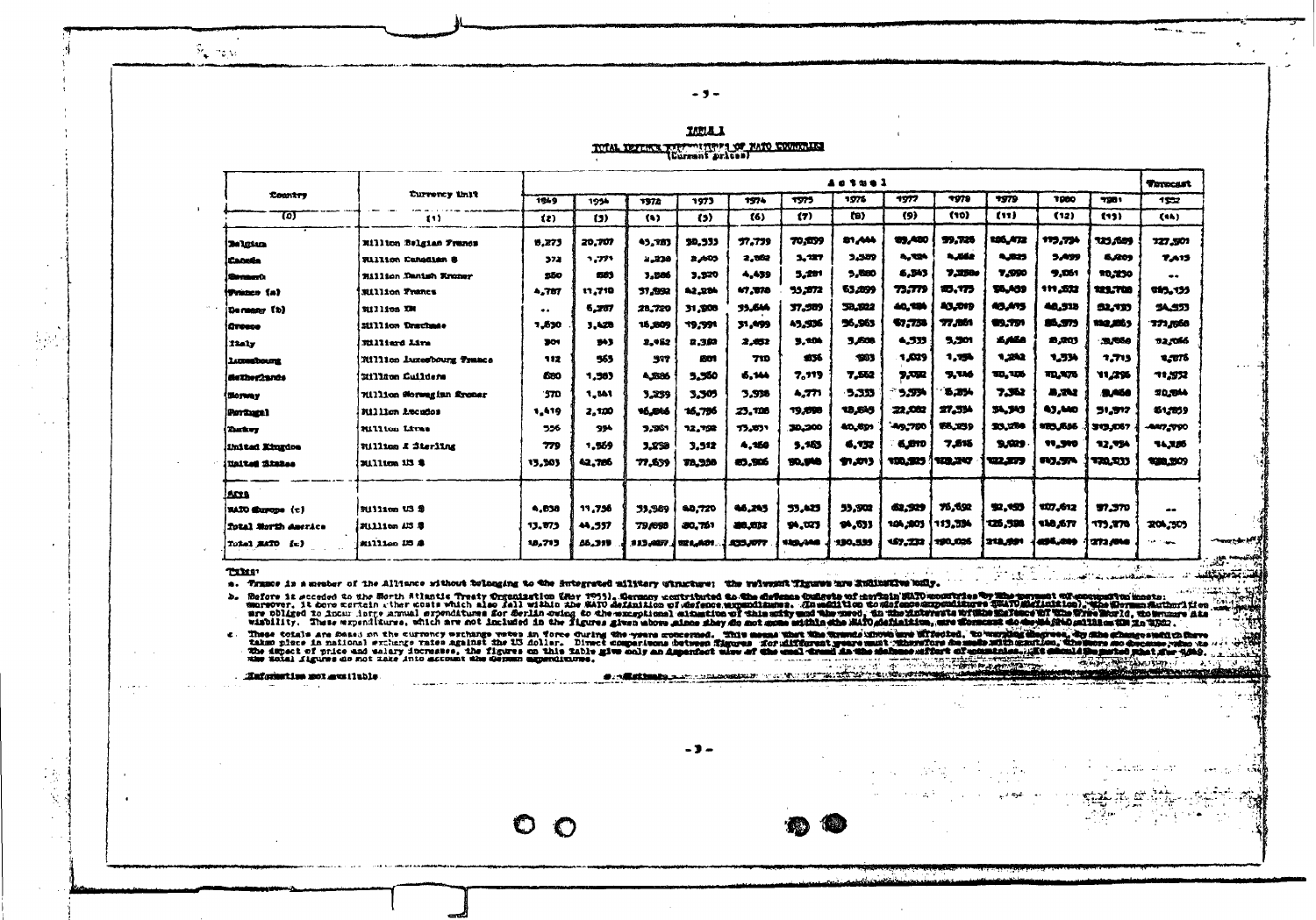$S_{\rm{c}}$  in  $\mu_{\rm{c}}$ 

| <b>LUBLE</b>                                 |  |
|----------------------------------------------|--|
| TOTAL DETERTS TO THE TABLE TO PATO COUNTRIES |  |

 $-9-$ 

|                                 |                                  |              | Actuel        |         |              |                 |         |         |               |               |               |                |              |               |
|---------------------------------|----------------------------------|--------------|---------------|---------|--------------|-----------------|---------|---------|---------------|---------------|---------------|----------------|--------------|---------------|
| Country                         | Turnerey that                    | 1249         | 1954          | 1972    | 1973         | 1974            | 1975    | 1976    | 1977          | 7979          | 7579          | 1000           | 7201         | 1532          |
| छा                              | - 117                            | $\mathbf{z}$ | (3)           | (1)     | (3)          | <b>E61</b>      | (7)     | (B)     | (9)           | (10)          | (11)          | (12)           | <b>E13)</b>  | (14)          |
| <b>Belgian</b>                  | Xillion Belgian Francs           | 9.273        | 20.707        | 45.787  | 50.533       | 77.779          | 70.039  | 81,444  | <b>99,480</b> | 99.728        | 105.472       | 115,754        | 123,689      | 127,501       |
| <b>Canada</b>                   | <b>Fillion Canadian S</b>        | 372          | 1.771         | 2.330   | <b>2,405</b> | 2,562           | 3.127   | 3,559   | 4.724         | 4.662         | 5,323         | 3.499          | 6.809        | <b>7.A13</b>  |
| <b>Stream D</b>                 | 2111110n Danish Rroner           | 550          | 681           | 3.586   | 3.520        | 4.439           | 5,291   | 5.580   | 6.343         | 7.2300        | 7.990         | 9.061          | 10,230       | --            |
| iTrazes (a)                     | <b>Million Trancs</b>            | 4.787        | 11,710        | 37.552  | 42.284       | 47,078          | 95,972  | 53,899  | 73.779        | <b>2D.773</b> | 55,439        | 111,572        | 121.700      | 985.155       |
| (Cormany (b)                    | 9111103 IM                       |              | 6,767         | 28,720  | 31,300       | 33.644          | 37.589  | 33.522  | 40,194        | 43,019        | 45,475        | 40.918         | 52.737       | 54.573        |
| <b>Greece</b>                   | 311111cm Drachmae                | 1,830        | 3.428         | 15,809  | 19, 991      | 31.499          | 45.536  | 96.963  | \$7.750       | 77,861        | <b>99.751</b> | <b>SS.373</b>  | 110,25,9     | 771,556       |
| i 12a1y                         | Eilliard Line                    | 301          | 943           | 2,452   | 2.382        | 2,032           | 3,300   | 3,608   | 4.533         | 5,501         | 6.468         | 28.203         | 31,550       | 12.056        |
| <b>Luxuation one</b>            | <b>Rillico Auxesbourg France</b> | 112          | 965           | 597     | 601          | 710             | 13%     | 1983    | 1,629         | 1.150         | 1,232         | 1.534          | 7.713        | 1.775         |
| de The Cards                    | Eillige Cuilders                 | 680          | 1,583         | 4,886   | 5,560        | 6.144           | 7.119   | 7.552   | 5,092         | 9,116         | 30, 106       | <b>ND. 475</b> | 11.2%        | 71,332        |
| <b>Sloyway</b>                  | 71111100 Morwegian Aroner        | '370         | 1,341         | 3.239   | 3.305        | 3.538           | 4,771   | 5.333   | 5,554         | $3.29 -$      | 7.362         | 8.742          | 5,460        | 20.044        |
| Portham)                        | Nillign Aucudos                  | 1,419        | 2.120         | 46.B46  | 16,756       | 23.128          | 19,898  | 18.619  | 22,002        | 27.334        | 34.345        | 43,440         | 51.517       | \$1,2059      |
| <b>Dates</b>                    | Rillion Lives                    | 556          | 234           | 9,561   | 12, 752      | 15,851          | 30,200  | 40.691  | 49.700        | \$5.259       | 23.280        | 103.636        | 313,067      | -887, 790     |
| inited Kingdoe                  | William & Sterling               | 779          | 1.569         | 3.250   | 3,512        | 4.150           | 5,163   | 6.732   | 6,810         | 7,515         | 5,529         | <b>11,310</b>  | 12.754       | <b>TA.X26</b> |
| <b>Haited Stakes</b>            | <b>JUlium 13 S</b>               | 13,503       | 42.786        | 77.539  | 78,338       | 83.SD6          | 10.940  | ቁ.መ     | 100.525       | 109,247       | 42.373        | <b>113.574</b> | 770.333      | 920,309       |
| ANA                             |                                  |              |               |         |              |                 |         |         |               |               |               |                |              |               |
| <b>NATO Sharope</b> (c)         | William US 2                     | 4.838        | <b>19.756</b> | 33,969  | 60.720       | 46.243          | 53,425  | 33.902  | 62.529        | 76.692        | 92.193        | 107,612        | 97.370       | --            |
| <b>Tozal Morth America</b>      | 2111110n 113 S                   | 13.075       | 44.557        | 79,698  | 30.761       | 80.032          | 94.023  | 00.533  | 104,803       | 113,334       | 125,598       | <b>118,577</b> | <b>TT.TN</b> | 204,305       |
| <i><b>Total EATO</b></i><br>fe) | 20111100 US &                    | 18.713       | 56.319        | 313.457 | 321.401      | <b>ANS.JOTT</b> | 120,000 | 130,599 | 167.232       | 190,026       | 318,991       | 495.201        | 272.440      | tah inggris   |
|                                 |                                  |              |               |         |              |                 |         |         |               |               |               |                |              |               |

**TXXII** 

a. Trance is a member of the Allence rithout bulneable the one of the relevance with the concellent of the control only.

 $\circ \circ$ 

Defore it second to the Sorth Stintic Treaty from a mile in 1999. Connoy contributed to the costerus of costerus Sin sin and more of a second second to the Sorth Stintic Treaty from a Costerus of the Construction of coster

c. These totals are fossion the currency exchange were an force during the wave succerned. This means that the transition throughly increased in the second and the formal through the companion of the companion of the compa ed/ caller, vacano ALL READER **STATISTICS** RT WARD чX

Hafsmatise got gus ilable *O. Allationing*  $-3-$ 

المؤمن كالسد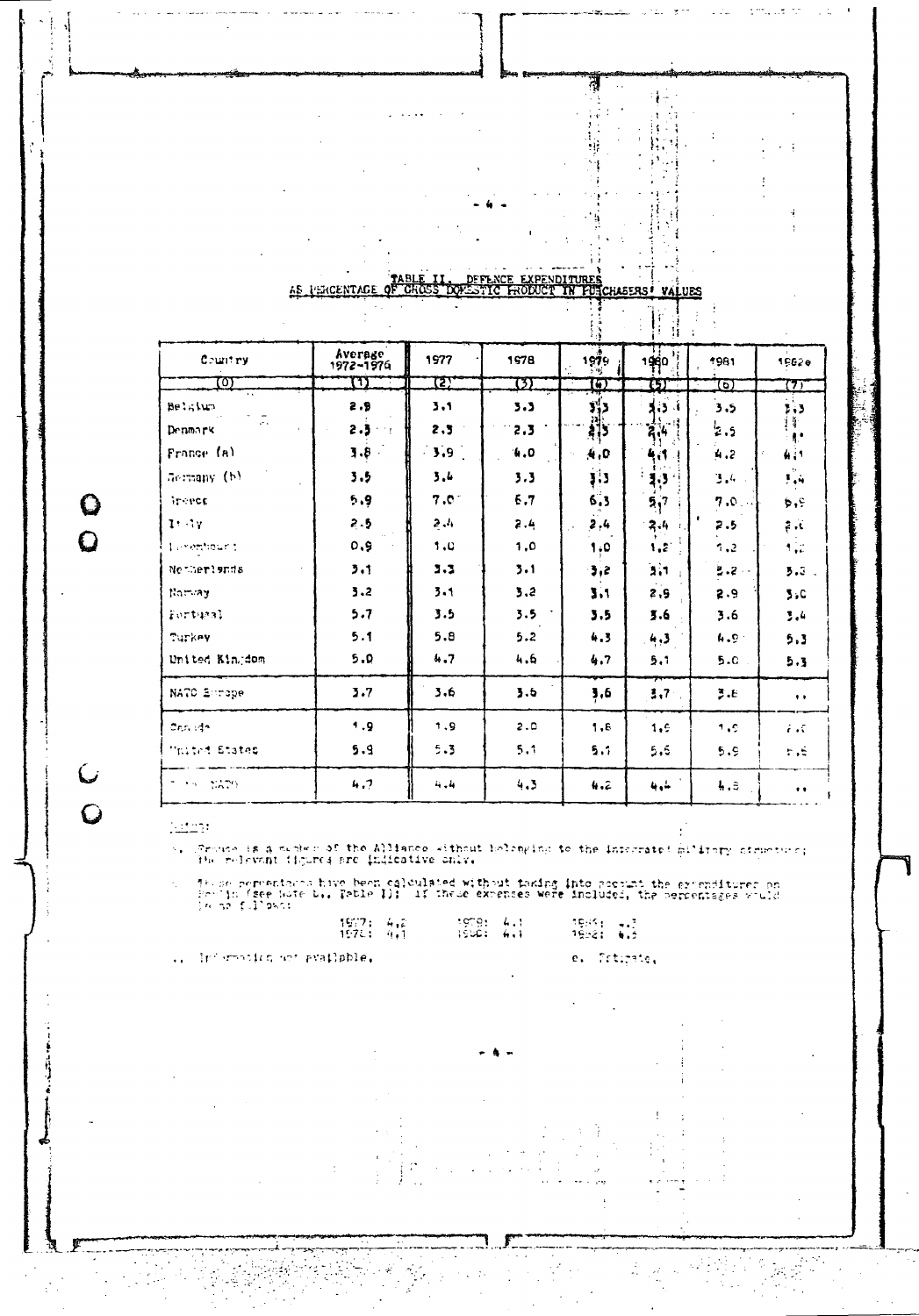|                         | ዋለ RI ም |  |          |                 |  |
|-------------------------|---------|--|----------|-----------------|--|
| 45<br><b>LERCENTAGE</b> |         |  | HASERS I | <b>HES</b><br>. |  |
|                         |         |  |          |                 |  |
|                         |         |  |          |                 |  |

 $\mathbf{A}$ 

فتحدث

 $\bar{\beta}$ 

곜 þ

 $\ddot{\phantom{a}}$ 

ijΫ ંદ

 $\begin{array}{c} \begin{array}{c} \hline \end{array} \\ \hline \end{array}$ 

侵

4.,

Ó

 $\mathbf{r}$ 

ķ  $\frac{1}{2}$ Έ.

ÿ, ÷,

 $\pmb{i}$ 

 $\rightarrow$ 

÷ ÷

 $\frac{d}{dt} \int_{-\infty}^{\infty}$ 

 $\bar{\mathcal{A}}$ 

 $\frac{1}{2\pi}$ 

ğ.

 $\bar{z}$ 

Prtipate,

Ì

 $\mathcal{L}$ 

 $\frac{1}{2}$  $\mathbf{k}$   $\log^{-1/2}$ 

.,

 $\ddot{\phantom{1}}$ 

 $\sim 1$ 

|                                           |                      |                | Ť.<br>41 |              |                |          |                             |  |  |  |  |
|-------------------------------------------|----------------------|----------------|----------|--------------|----------------|----------|-----------------------------|--|--|--|--|
| Country                                   | Average<br>1972-1976 | 1977           | 1978     | 1979<br>y'it | 1980           | *981     | 1962e                       |  |  |  |  |
| ळ्                                        | m                    | <u> 127</u>    | 737      | តេ           | छा             | তা       | 777                         |  |  |  |  |
| Belgium                                   | 2.9                  | 3.1            | 3.3      | 3,3          | 3.3.4          | 3.5      | , 3                         |  |  |  |  |
| $\mathcal{L}^{\mathcal{L}}$ is<br>Denmark | 2.3<br><b>Allen</b>  | 2,3            | 2.3      | :al⊹<br>अर्  | 2,4            | 2.5      | ţf.<br>H.                   |  |  |  |  |
| France (a)                                | $3.8 -$              | $\mathbf{3.9}$ | 4.0      | 4,0          | 4,1            | 4.2      | 411                         |  |  |  |  |
| Germany (b)                               | 3.5                  | 3.4            | 3.3      | 33           | $3.3^{\circ}$  | 3.4      | 7.4                         |  |  |  |  |
| <b>Andrece</b>                            | 5.9                  | $7.0^\circ$    | 5.7      | 6.3          | 5 <sub>1</sub> | 7.0      | ¢۰                          |  |  |  |  |
| 1.17                                      | 2.5                  | 2.4            | 2.4      | 2,4          | $2.4 -$        | 2.5      | $\mathbb{R}^n$              |  |  |  |  |
| Lenembourn                                | 0.9                  | 1.0            | 1,0      | 1.0          | 1, 2           | 7.2      | $\mathbf{1}_{\mathrm{max}}$ |  |  |  |  |
| Netherlands                               | 3.1                  | 3.3            | 3.1      | 3,2          | 3,1            | 필. 2 - - | 3.3.                        |  |  |  |  |
| Nomax                                     | 3.2                  | 3.1            | 3,2      | 3.1          | 2,5            | 2.9      | 3,0                         |  |  |  |  |
| Fortunal                                  | 5.7                  | 3.5            | 3.5      | 3.5          | 3.6            | 3.6      | 3.4                         |  |  |  |  |
| Turkey                                    | 5.1                  | 5.8            | 5.2      | 4.3          | 4,3            | 4.9.1    | 5.3                         |  |  |  |  |
| United Kingdom                            | 5.0                  | 4.7            | 4.6      | 4.7          | 5.1            | 5.0      | 5.3                         |  |  |  |  |
| NATO Enrope                               | 3.7                  | 3.6            | 3.6      | 3,6          | 3.7            | 3.E      | $\bullet$ $\bullet$         |  |  |  |  |
| Canada.                                   | 1.9                  | 1.9            | 2.C      | 1.8          | 1.9            | 1.9      | i st                        |  |  |  |  |
| <b>Maited States</b>                      | 5.9                  | 5.3            | 5,1      | 5.1          | 5,6            | 5.9      | F.S.                        |  |  |  |  |
| TO STORES                                 | 4.7                  | بقربة          | 4.3      | 4.2          | 4,4            | 4.3      | $\bullet$                   |  |  |  |  |

 $\frac{1}{2}$ 

 $\mathbf Q$  $\overline{Q}$ 

 $\overline{u}$ 

 $\overline{Q}$ 

(Froute is a miched of the Alliance without belonging to the informated military ofgueture; K.

These permentares have been calculated without taking into pocount the excenditurer on<br>Beelin (see hute b., Table I): "If these expenses were included, the percentages would<br>Beens follows:

| .<br>1977; 4,2<br>1575: 4.1         | 10.914<br>155C: 6.1 | 1965) - 13<br>1988: 6,5 |
|-------------------------------------|---------------------|-------------------------|
| $\ldots$ information not evailable. |                     | e. Trtira               |

 $\begin{array}{c} \frac{1}{2} \\ \frac{1}{2} \end{array}$ 

g)

ΥŹ,

 $\frac{1}{2}$ 

 $\bar{\phantom{a}}$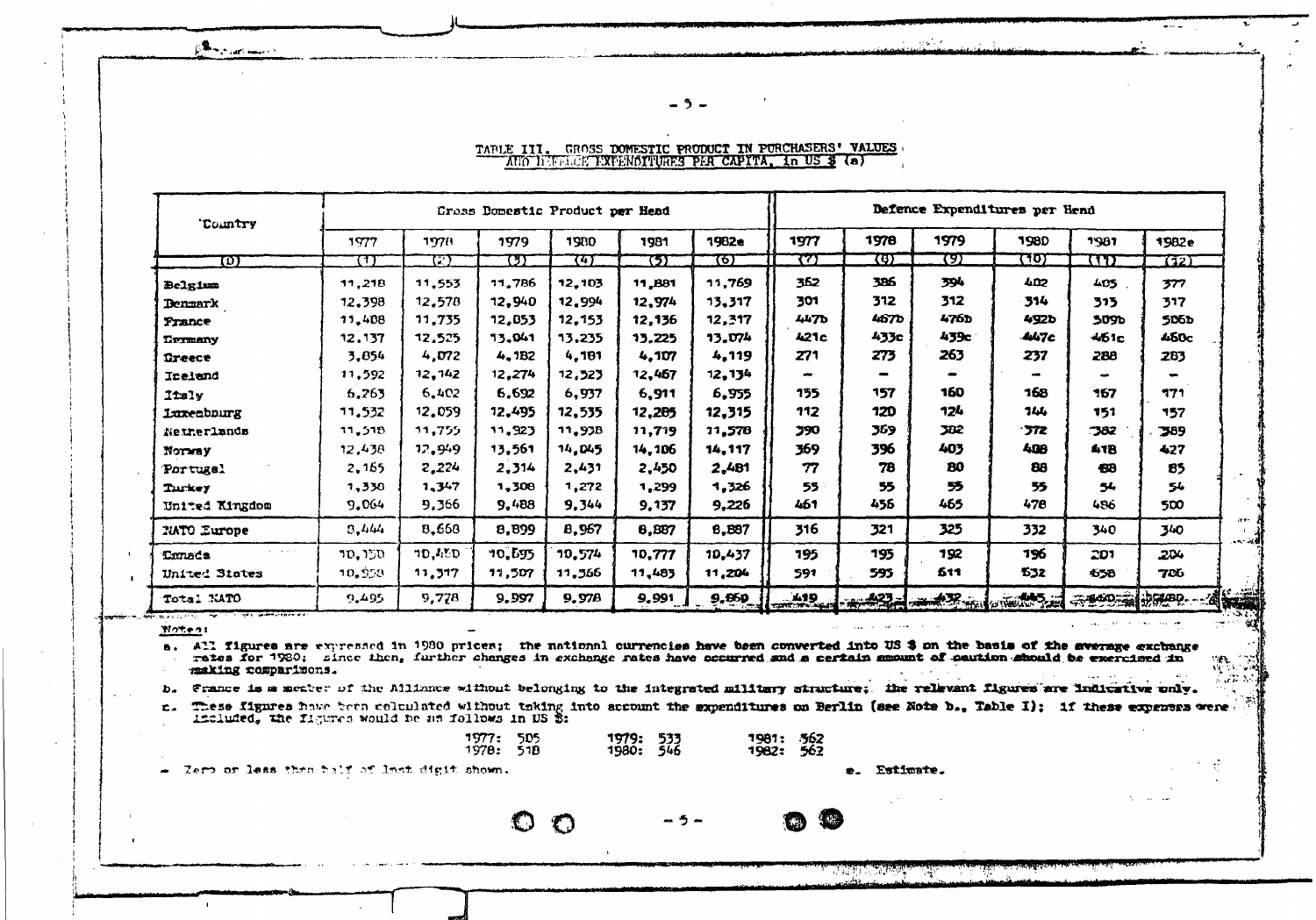**Communication** 

#### TABLE III. GROSS DOMESTIC PRODUCT IN PURCHASERS' VALUES AUD DEFELCE PXPENOITURES PER CAPITA, in US \$ (a)

- 3 -

| 'Country           |        |               | Cross Domestic Product per Head |               |        | Defence Expenditures per Hend |            |              |                              |      |                    |       |
|--------------------|--------|---------------|---------------------------------|---------------|--------|-------------------------------|------------|--------------|------------------------------|------|--------------------|-------|
|                    | 1977   | 1978          | 1979                            | 1980          | 1981   | 1982e                         | 1977       | 1978         | 1979                         | 1980 | 1981               | 1982e |
| w                  | ਸਾ     | 77            | 737                             | ग्रहा         | छा     | ल्हा                          | 77)        | 76)          | एग्र                         | ᡕ᠋᠍ᠩ | w                  | (12)  |
| Belgium            | 11,218 | 11,553        | 11.786                          | 12.103        | 11,881 | 11,769                        | 362        | 386          | 394                          | 4D2  | 405                | 377   |
| <b>Denmark</b>     | 12,398 | 12,578        | 12.940                          | 12.994        | 12,974 | 13,317                        | 301        | 312          | 312                          | 314  | 313                | 317   |
| France             | 11,408 | 11.735        | 12,053                          | 12.153        | 12,136 | 12,317                        | 447b       | 467 <b>b</b> | 4760                         | 492b | 509b               | 506b  |
| Termany            | 12,137 | 12,525        | 13.041                          | 13,235        | 13.225 | 13.074                        | 421c       | 433c         | 439c                         | 447c | 4б1с               | 450c  |
| <b>Greece</b>      | 3,854  | 4,072         | 4.1B2                           | 4.181         | 4.107  | 4,119                         | 271        | 273          | 263                          | 237  | 288                | 263   |
| Incland            | 11,592 | 12,142        | 12.274                          | 12,523        | 12,467 | 12,134                        |            |              |                              |      |                    |       |
| <b>Italy</b>       | 6,265  | 6.402         | 6,692                           | 6,937         | 6,911  | 6,955                         | 155        | 157          | 160                          | 168  | 167                | 771   |
| Luxenbourg         | 11,532 | 12.059        | 12,495                          | 12,535        | 12.285 | 12,315                        | 112        | 120          | 124                          | 144  | 151                | 157   |
| Netherlands        | 11,518 | 11.755        | 11,923                          | <b>11.93B</b> | 11,719 | 11,578                        | <b>390</b> | 369          | 382                          | 572  | 382                | 389   |
| Norway             | 12,438 | 12.949        | 13.561                          | <b>14.045</b> | 14,106 | 14,117                        | 369        | 396          | 403                          | 408  | 41B                | 427   |
| Portugal           | 2,165  | 2,224         | 2,314                           | 2,431         | 2,450  | 2,481                         | 77         | 78           | 80                           | 88   | 498                | 85    |
| Turkey             | 1,338  | 1,347         | 1,308                           | 1,272         | 1,299  | 1,326                         | 55         | 55           | 55                           | 55   | 54                 | 54    |
| United Kingdom     | 9.064  | 9,366         | 9.488                           | 9,344         | 9,137  | 9,226                         | 461        | 456          | 465                          | 470  | 486                | 500   |
| <b>NATO Europe</b> | 3.444  | 8,668         | 8,899                           | B,967         | 6,887  | 8,897                         | 316        | 321          | 325                          | 332  | 340                | 340   |
| <b>Tanada</b>      | ספר סר | <b>70.450</b> | 10,695                          | 10.574        | 10.777 | 10,437                        | 195        | 195          | 192                          | 196  | 201                | 204   |
| United States      | 10,953 | 11,317        | 11,507                          | 11,566        | 11,483 | 11,204                        | 591        | 595          | 511                          | 532  | 650                | 706   |
| Total KATO         | 9.495  | 9,778         | 9.997                           | 9.978         | 9,991  | <b>9,869</b>                  |            |              | $133 - 23$ $+ 27$ and $- 13$ |      | <del>示型的:前次的</del> |       |

 $M$  $0$ <sup> $+$ </sup> $-$ <sup> $n$ </sup>:

 $\mathbf{I}$ 

a. All figures are expressed in 1930 prices; the national currencies have been converted into US \$ on the basis of the average exchange rates for 1980; since then, further changes in exchange rates have occurred and a certain manunt of caution should be exercised in making comparisons.

France is a meaber of the Alliance without belonging to the integrated military structure; the relevant figures are indicative only. ъ.

- 5 -

These figures have been celculated without taking into account the sxpenditures on Berlin (see Note b., Table I); if these expenses were.  $\mathbf{c}$ . included, the figures would be an follows in US \$:

1977: 505 1981: 562<br>1982: 562 **1979: 533**<br>1980: 546 1978: 51B

 $\bigcirc$ 

 $\bigcirc$ 

- Zero or less than half of last digit shown.

e. Estimate.

كالمستنقذ والمتحدث والمتناور

ा होगा।

建筑机

**DEAL RAIL**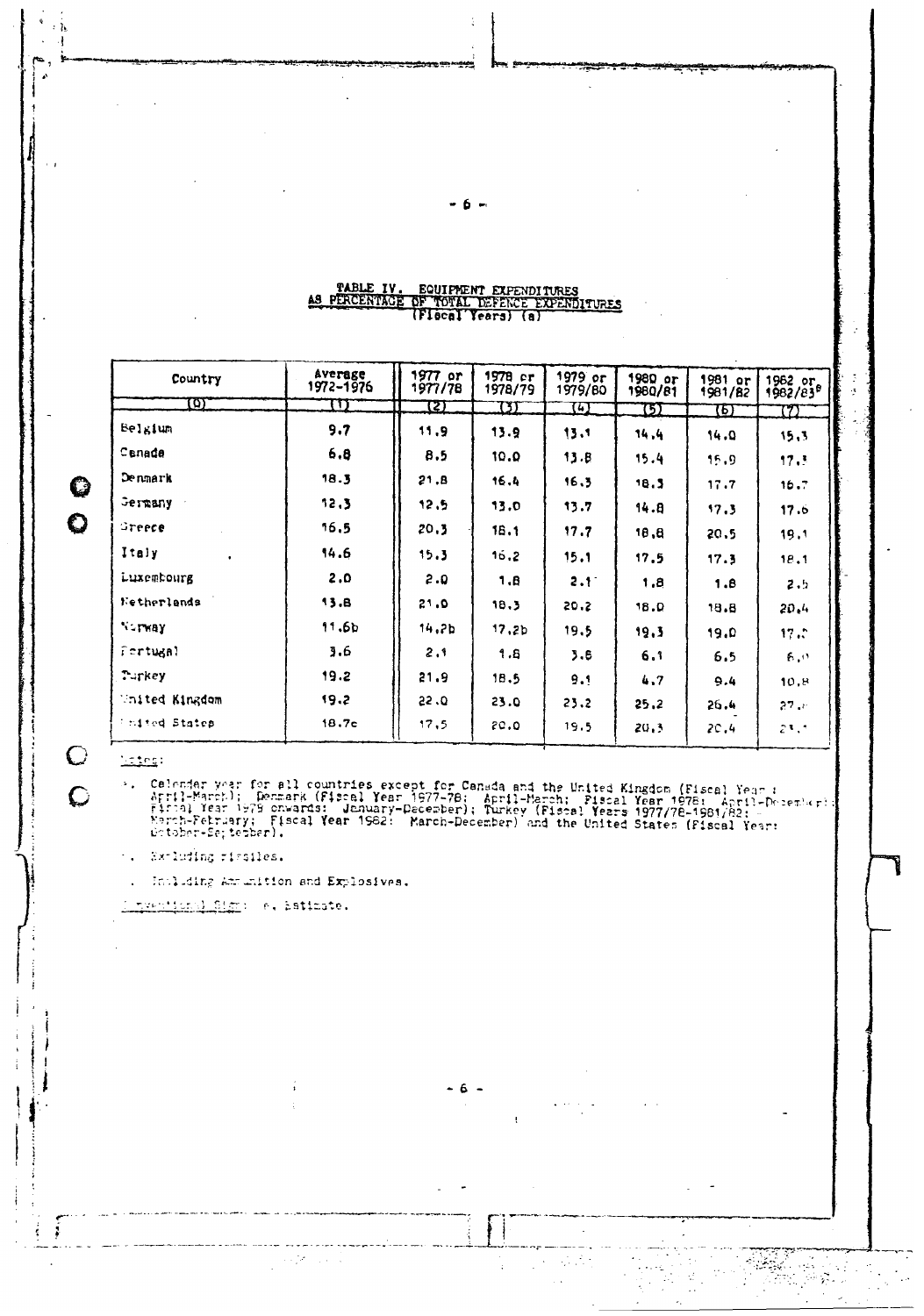# TABLE IV. EQUIPMENT EXPENDITURES<br>AS PERCENTAGE OF TOTAL DEFENCE EXPENDITURES<br>(Flocal Years) (a)

| Country               | Average<br>1972-1976 | 1977 or<br>1977/78 | $1978$ $cr$<br>1978/79 | 1979 or<br>1979/80 | $1980$ or<br>1980/81 | 1981 or<br>1981/82 | 1962 or<br>1982/83 <sup>8</sup> |
|-----------------------|----------------------|--------------------|------------------------|--------------------|----------------------|--------------------|---------------------------------|
| $\boldsymbol{\omega}$ | Ͳ                    | 72)                | IJ                     | 74)                | ω                    | छा                 | m                               |
| Belgium               | 9.7                  | 11,9               | 13.9                   | 15.1               | 14.4                 | 14.0               | 15.3                            |
| Canada                | 6,8                  | 8.5                | 10.0                   | 13.8               | 15.4                 | 15.9               | 17.3                            |
| Denmark               | 18.3                 | 21.8               | 16.4                   | 16.3               | 18.3                 | 17.7               | 16.7                            |
| Germany               | 12.3                 | 12.5               | 13.0                   | 13.7               | 14.8                 | 17.3               | 17.6                            |
| Greece                | 16.5                 | 20.3               | 16.1                   | 17.7               | 18.8                 | 20.5               | 19.1                            |
| Italy<br>$\bullet$    | 14.6                 | 15.3               | 16.2                   | 15.1               | 17.5                 | 17.3               | 18.1                            |
| Luxembourg            | 2.0                  | 2.0                | 1.B                    | $2.1^{\circ}$      | 1.8                  | 1.8                | 2.5                             |
| Netherlands           | 13.8                 | 21.0               | 18.3                   | 20.2               | <b>18.0</b>          | 18.8               | 20.4                            |
| <b>Nurway</b>         | 11.6 <sub>b</sub>    | 14.2b              | 17.2 <sub>b</sub>      | 19.5               | 19.3                 | 19.0               | 17.5                            |
| fertugal              | 3.6                  | 2.1                | 1.8                    | 3.6                | 6.1                  | 6.5                | 6.0                             |
| Turkey                | 19.2                 | 21.9               | 18.5                   | 9,1                | 4.7                  | 9.4                | 10,8                            |
| United Kingdom        | 19.2                 | 22.0               | 23.0                   | 23.2               | 25.2                 | 26.4               | $27 -$                          |
| <b>Ending States</b>  | 18.7c                | 17,5               | 20.0                   | 19.5               | 20.3                 | 20,4               | 23.3                            |

### $L = t \cdot s$

Ĉ

 $\overline{C}$ 

Ť

Q  $\ddot{\mathbf{O}}$ 

ŋ,

Calendar year for all countries except for Canada and the United Kingdom (Fiscal Year :<br>April-March); Denmark (Fiscal Year 1977-78; April-Merch; Piscal Year 1978; April-December);<br>Fiscal Year 1979 onwards: Jenuary-December  $\sim$ 

 $-6 -$ 

ł

 $\mathcal{L}^{\pm}$ 

—.,

 $\mathcal{L}_1 \in \mathcal{L}_2$  ,  $\mathcal{L}_2$ 

.<br>Pr

 $\bar{L}$ 

.. Sxrluding rigalles.

Including Americian and Explosives.

A nyemitanal Sign) e. Estimate.